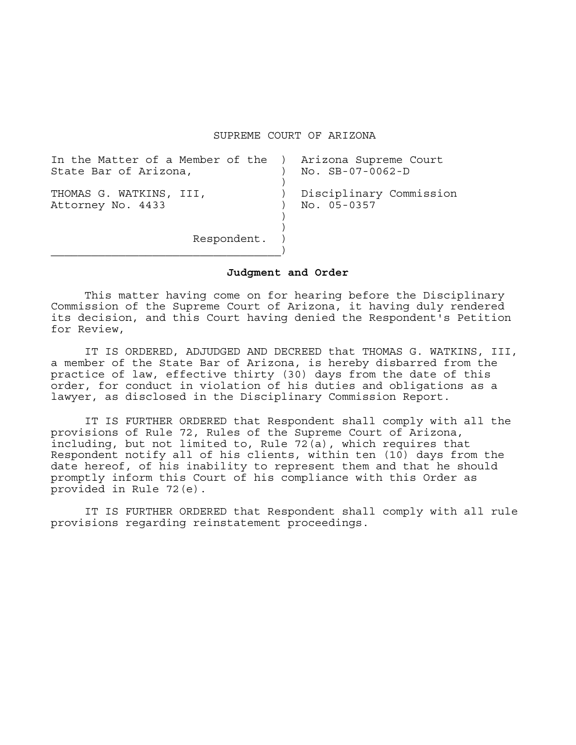SUPREME COURT OF ARIZONA

| In the Matter of a Member of the )<br>State Bar of Arizona, | Arizona Supreme Court<br>$No.$ $SB-07-0062-D$ |
|-------------------------------------------------------------|-----------------------------------------------|
| THOMAS G. WATKINS, III,<br>Attorney No. 4433                | Disciplinary Commission<br>No. 05-0357        |
| Respondent.                                                 |                                               |

## **Judgment and Order**

 This matter having come on for hearing before the Disciplinary Commission of the Supreme Court of Arizona, it having duly rendered its decision, and this Court having denied the Respondent's Petition for Review,

 IT IS ORDERED, ADJUDGED AND DECREED that THOMAS G. WATKINS, III, a member of the State Bar of Arizona, is hereby disbarred from the practice of law, effective thirty (30) days from the date of this order, for conduct in violation of his duties and obligations as a lawyer, as disclosed in the Disciplinary Commission Report.

 IT IS FURTHER ORDERED that Respondent shall comply with all the provisions of Rule 72, Rules of the Supreme Court of Arizona, including, but not limited to, Rule 72(a), which requires that Respondent notify all of his clients, within ten (10) days from the date hereof, of his inability to represent them and that he should promptly inform this Court of his compliance with this Order as provided in Rule 72(e).

 IT IS FURTHER ORDERED that Respondent shall comply with all rule provisions regarding reinstatement proceedings.